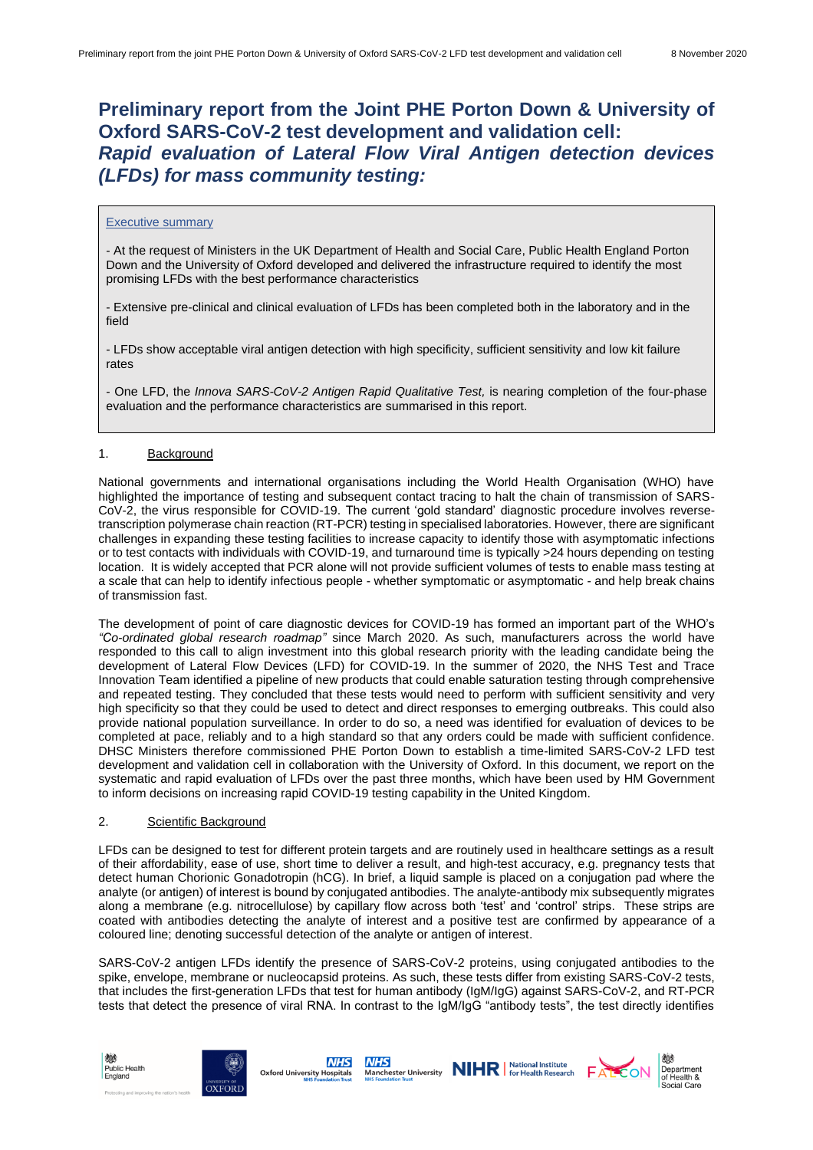# **Preliminary report from the Joint PHE Porton Down & University of Oxford SARS-CoV-2 test development and validation cell:** *Rapid evaluation of Lateral Flow Viral Antigen detection devices (LFDs) for mass community testing:*

#### Executive summary

- At the request of Ministers in the UK Department of Health and Social Care, Public Health England Porton Down and the University of Oxford developed and delivered the infrastructure required to identify the most promising LFDs with the best performance characteristics

- Extensive pre-clinical and clinical evaluation of LFDs has been completed both in the laboratory and in the field

- LFDs show acceptable viral antigen detection with high specificity, sufficient sensitivity and low kit failure rates

- One LFD, the *Innova SARS-CoV-2 Antigen Rapid Qualitative Test,* is nearing completion of the four-phase evaluation and the performance characteristics are summarised in this report.

# 1. **Background**

National governments and international organisations including the World Health Organisation (WHO) have highlighted the importance of testing and subsequent contact tracing to halt the chain of transmission of SARS-CoV-2, the virus responsible for COVID-19. The current 'gold standard' diagnostic procedure involves reversetranscription polymerase chain reaction (RT-PCR) testing in specialised laboratories. However, there are significant challenges in expanding these testing facilities to increase capacity to identify those with asymptomatic infections or to test contacts with individuals with COVID-19, and turnaround time is typically >24 hours depending on testing location. It is widely accepted that PCR alone will not provide sufficient volumes of tests to enable mass testing at a scale that can help to identify infectious people - whether symptomatic or asymptomatic - and help break chains of transmission fast.

The development of point of care diagnostic devices for COVID-19 has formed an important part of the WHO's *"Co-ordinated global research roadmap"* since March 2020. As such, manufacturers across the world have responded to this call to align investment into this global research priority with the leading candidate being the development of Lateral Flow Devices (LFD) for COVID-19. In the summer of 2020, the NHS Test and Trace Innovation Team identified a pipeline of new products that could enable saturation testing through comprehensive and repeated testing. They concluded that these tests would need to perform with sufficient sensitivity and very high specificity so that they could be used to detect and direct responses to emerging outbreaks. This could also provide national population surveillance. In order to do so, a need was identified for evaluation of devices to be completed at pace, reliably and to a high standard so that any orders could be made with sufficient confidence. DHSC Ministers therefore commissioned PHE Porton Down to establish a time-limited SARS-CoV-2 LFD test development and validation cell in collaboration with the University of Oxford. In this document, we report on the systematic and rapid evaluation of LFDs over the past three months, which have been used by HM Government to inform decisions on increasing rapid COVID-19 testing capability in the United Kingdom.

# 2. Scientific Background

LFDs can be designed to test for different protein targets and are routinely used in healthcare settings as a result of their affordability, ease of use, short time to deliver a result, and high-test accuracy, e.g. pregnancy tests that detect human Chorionic Gonadotropin (hCG). In brief, a liquid sample is placed on a conjugation pad where the analyte (or antigen) of interest is bound by conjugated antibodies. The analyte-antibody mix subsequently migrates along a membrane (e.g. nitrocellulose) by capillary flow across both 'test' and 'control' strips. These strips are coated with antibodies detecting the analyte of interest and a positive test are confirmed by appearance of a coloured line; denoting successful detection of the analyte or antigen of interest.

SARS-CoV-2 antigen LFDs identify the presence of SARS-CoV-2 proteins, using conjugated antibodies to the spike, envelope, membrane or nucleocapsid proteins. As such, these tests differ from existing SARS-CoV-2 tests, that includes the first-generation LFDs that test for human antibody (IgM/IgG) against SARS-CoV-2, and RT-PCR tests that detect the presence of viral RNA. In contrast to the IgM/IgG "antibody tests", the test directly identifies





**NHS NHS** Oxford University Hospitals





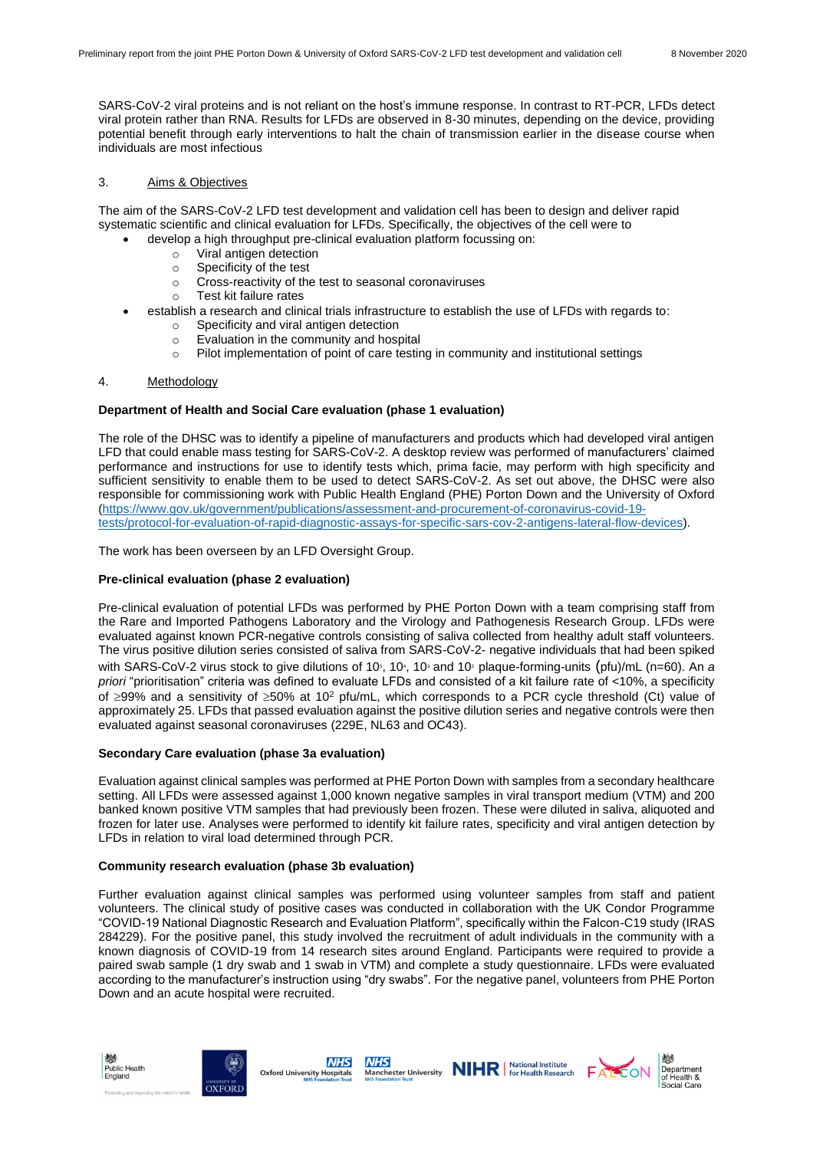SARS-CoV-2 viral proteins and is not reliant on the host's immune response. In contrast to RT-PCR, LFDs detect viral protein rather than RNA. Results for LFDs are observed in 8-30 minutes, depending on the device, providing potential benefit through early interventions to halt the chain of transmission earlier in the disease course when individuals are most infectious

# 3. Aims & Objectives

The aim of the SARS-CoV-2 LFD test development and validation cell has been to design and deliver rapid systematic scientific and clinical evaluation for LFDs. Specifically, the objectives of the cell were to

- develop a high throughput pre-clinical evaluation platform focussing on:
	- o Viral antigen detection
	- o Specificity of the test
	- o Cross-reactivity of the test to seasonal coronaviruses
	- o Test kit failure rates
- establish a research and clinical trials infrastructure to establish the use of LFDs with regards to:
	- o Specificity and viral antigen detection
	- o Evaluation in the community and hospital  $\circ$  Pilot implementation of point of care testing in community and institutional settings
- 4. Methodology

# **Department of Health and Social Care evaluation (phase 1 evaluation)**

The role of the DHSC was to identify a pipeline of manufacturers and products which had developed viral antigen LFD that could enable mass testing for SARS-CoV-2. A desktop review was performed of manufacturers' claimed performance and instructions for use to identify tests which, prima facie, may perform with high specificity and sufficient sensitivity to enable them to be used to detect SARS-CoV-2. As set out above, the DHSC were also responsible for commissioning work with Public Health England (PHE) Porton Down and the University of Oxford [\(https://www.gov.uk/government/publications/assessment-and-procurement-of-coronavirus-covid-19](https://www.gov.uk/government/publications/assessment-and-procurement-of-coronavirus-covid-19-tests/protocol-for-evaluation-of-rapid-diagnostic-assays-for-specific-sars-cov-2-antigens-lateral-flow-devices) [tests/protocol-for-evaluation-of-rapid-diagnostic-assays-for-specific-sars-cov-2-antigens-lateral-flow-devices\)](https://www.gov.uk/government/publications/assessment-and-procurement-of-coronavirus-covid-19-tests/protocol-for-evaluation-of-rapid-diagnostic-assays-for-specific-sars-cov-2-antigens-lateral-flow-devices).

The work has been overseen by an LFD Oversight Group.

# **Pre-clinical evaluation (phase 2 evaluation)**

Pre-clinical evaluation of potential LFDs was performed by PHE Porton Down with a team comprising staff from the Rare and Imported Pathogens Laboratory and the Virology and Pathogenesis Research Group. LFDs were evaluated against known PCR-negative controls consisting of saliva collected from healthy adult staff volunteers. The virus positive dilution series consisted of saliva from SARS-CoV-2- negative individuals that had been spiked with SARS-CoV-2 virus stock to give dilutions of 10<sup>s</sup>, 10<sup>s</sup>, 10<sup>3</sup> and 10<sup>2</sup> plaque-forming-units (pfu)/mL (n=60). An a *priori* "prioritisation" criteria was defined to evaluate LFDs and consisted of a kit failure rate of <10%, a specificity of  $\geq$ 99% and a sensitivity of  $\geq$ 50% at 10<sup>2</sup> pfu/mL, which corresponds to a PCR cycle threshold (Ct) value of approximately 25. LFDs that passed evaluation against the positive dilution series and negative controls were then evaluated against seasonal coronaviruses (229E, NL63 and OC43).

# **Secondary Care evaluation (phase 3a evaluation)**

Evaluation against clinical samples was performed at PHE Porton Down with samples from a secondary healthcare setting. All LFDs were assessed against 1,000 known negative samples in viral transport medium (VTM) and 200 banked known positive VTM samples that had previously been frozen. These were diluted in saliva, aliquoted and frozen for later use. Analyses were performed to identify kit failure rates, specificity and viral antigen detection by LFDs in relation to viral load determined through PCR.

# **Community research evaluation (phase 3b evaluation)**

Further evaluation against clinical samples was performed using volunteer samples from staff and patient volunteers. The clinical study of positive cases was conducted in collaboration with the UK Condor Programme "COVID-19 National Diagnostic Research and Evaluation Platform", specifically within the Falcon-C19 study (IRAS 284229). For the positive panel, this study involved the recruitment of adult individuals in the community with a known diagnosis of COVID-19 from 14 research sites around England. Participants were required to provide a paired swab sample (1 dry swab and 1 swab in VTM) and complete a study questionnaire. LFDs were evaluated according to the manufacturer's instruction using "dry swabs". For the negative panel, volunteers from PHE Porton Down and an acute hospital were recruited.











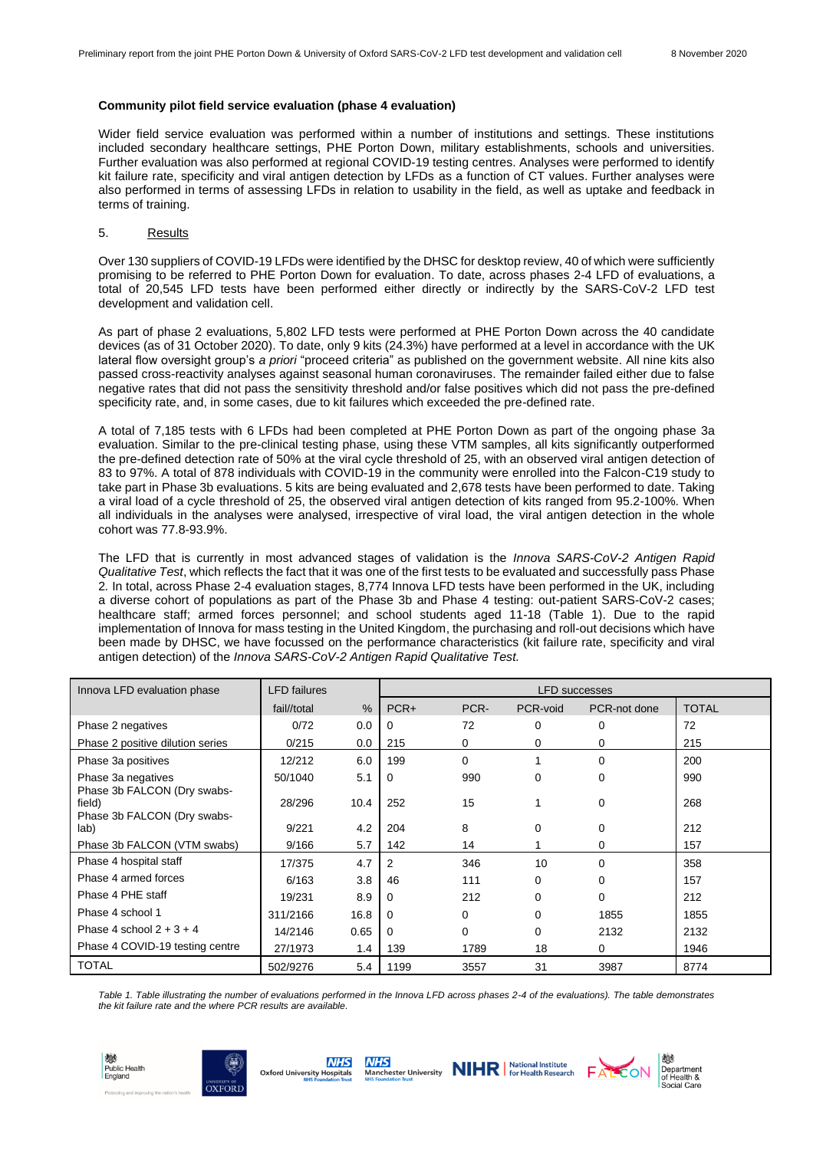#### **Community pilot field service evaluation (phase 4 evaluation)**

Wider field service evaluation was performed within a number of institutions and settings. These institutions included secondary healthcare settings, PHE Porton Down, military establishments, schools and universities. Further evaluation was also performed at regional COVID-19 testing centres. Analyses were performed to identify kit failure rate, specificity and viral antigen detection by LFDs as a function of CT values. Further analyses were also performed in terms of assessing LFDs in relation to usability in the field, as well as uptake and feedback in terms of training.

#### 5. Results

Over 130 suppliers of COVID-19 LFDs were identified by the DHSC for desktop review, 40 of which were sufficiently promising to be referred to PHE Porton Down for evaluation. To date, across phases 2-4 LFD of evaluations, a total of 20,545 LFD tests have been performed either directly or indirectly by the SARS-CoV-2 LFD test development and validation cell.

As part of phase 2 evaluations, 5,802 LFD tests were performed at PHE Porton Down across the 40 candidate devices (as of 31 October 2020). To date, only 9 kits (24.3%) have performed at a level in accordance with the UK lateral flow oversight group's *a priori* "proceed criteria" as published on the government website. All nine kits also passed cross-reactivity analyses against seasonal human coronaviruses. The remainder failed either due to false negative rates that did not pass the sensitivity threshold and/or false positives which did not pass the pre-defined specificity rate, and, in some cases, due to kit failures which exceeded the pre-defined rate.

A total of 7,185 tests with 6 LFDs had been completed at PHE Porton Down as part of the ongoing phase 3a evaluation. Similar to the pre-clinical testing phase, using these VTM samples, all kits significantly outperformed the pre-defined detection rate of 50% at the viral cycle threshold of 25, with an observed viral antigen detection of 83 to 97%. A total of 878 individuals with COVID-19 in the community were enrolled into the Falcon-C19 study to take part in Phase 3b evaluations. 5 kits are being evaluated and 2,678 tests have been performed to date. Taking a viral load of a cycle threshold of 25, the observed viral antigen detection of kits ranged from 95.2-100%. When all individuals in the analyses were analysed, irrespective of viral load, the viral antigen detection in the whole cohort was 77.8-93.9%.

The LFD that is currently in most advanced stages of validation is the *Innova SARS-CoV-2 Antigen Rapid Qualitative Test*, which reflects the fact that it was one of the first tests to be evaluated and successfully pass Phase 2*.* In total, across Phase 2-4 evaluation stages, 8,774 Innova LFD tests have been performed in the UK, including a diverse cohort of populations as part of the Phase 3b and Phase 4 testing: out-patient SARS-CoV-2 cases; healthcare staff; armed forces personnel; and school students aged 11-18 (Table 1). Due to the rapid implementation of Innova for mass testing in the United Kingdom, the purchasing and roll-out decisions which have been made by DHSC, we have focussed on the performance characteristics (kit failure rate, specificity and viral antigen detection) of the *Innova SARS-CoV-2 Antigen Rapid Qualitative Test.*

| Innova LFD evaluation phase                                          | <b>LFD</b> failures |               | <b>LFD</b> successes |          |          |              |              |
|----------------------------------------------------------------------|---------------------|---------------|----------------------|----------|----------|--------------|--------------|
|                                                                      | fail//total         | $\frac{0}{0}$ | $PCR+$               | PCR-     | PCR-void | PCR-not done | <b>TOTAL</b> |
| Phase 2 negatives                                                    | 0/72                | 0.0           | 0                    | 72       | 0        | 0            | 72           |
| Phase 2 positive dilution series                                     | 0/215               | 0.0           | 215                  | 0        | 0        | 0            | 215          |
| Phase 3a positives                                                   | 12/212              | 6.0           | 199                  | $\Omega$ |          | $\Omega$     | 200          |
| Phase 3a negatives                                                   | 50/1040             | 5.1           | 0                    | 990      | 0        | $\Omega$     | 990          |
| Phase 3b FALCON (Dry swabs-<br>field)<br>Phase 3b FALCON (Dry swabs- | 28/296              | 10.4          | 252                  | 15       |          | 0            | 268          |
| lab)                                                                 | 9/221               | 4.2           | 204                  | 8        | $\Omega$ | 0            | 212          |
| Phase 3b FALCON (VTM swabs)                                          | 9/166               | 5.7           | 142                  | 14       |          | 0            | 157          |
| Phase 4 hospital staff                                               | 17/375              | 4.7           | 2                    | 346      | 10       | $\Omega$     | 358          |
| Phase 4 armed forces                                                 | 6/163               | 3.8           | 46                   | 111      | 0        | $\Omega$     | 157          |
| Phase 4 PHE staff                                                    | 19/231              | 8.9           | 0                    | 212      | 0        | 0            | 212          |
| Phase 4 school 1                                                     | 311/2166            | 16.8          | 0                    | 0        | 0        | 1855         | 1855         |
| Phase 4 school $2 + 3 + 4$                                           | 14/2146             | 0.65          | $\Omega$             | 0        | 0        | 2132         | 2132         |
| Phase 4 COVID-19 testing centre                                      | 27/1973             | 1.4           | 139                  | 1789     | 18       | 0            | 1946         |
| <b>TOTAL</b>                                                         | 502/9276            | 5.4           | 1199                 | 3557     | 31       | 3987         | 8774         |

*Table 1. Table illustrating the number of evaluations performed in the Innova LFD across phases 2-4 of the evaluations). The table demonstrates the kit failure rate and the where PCR results are available.* 











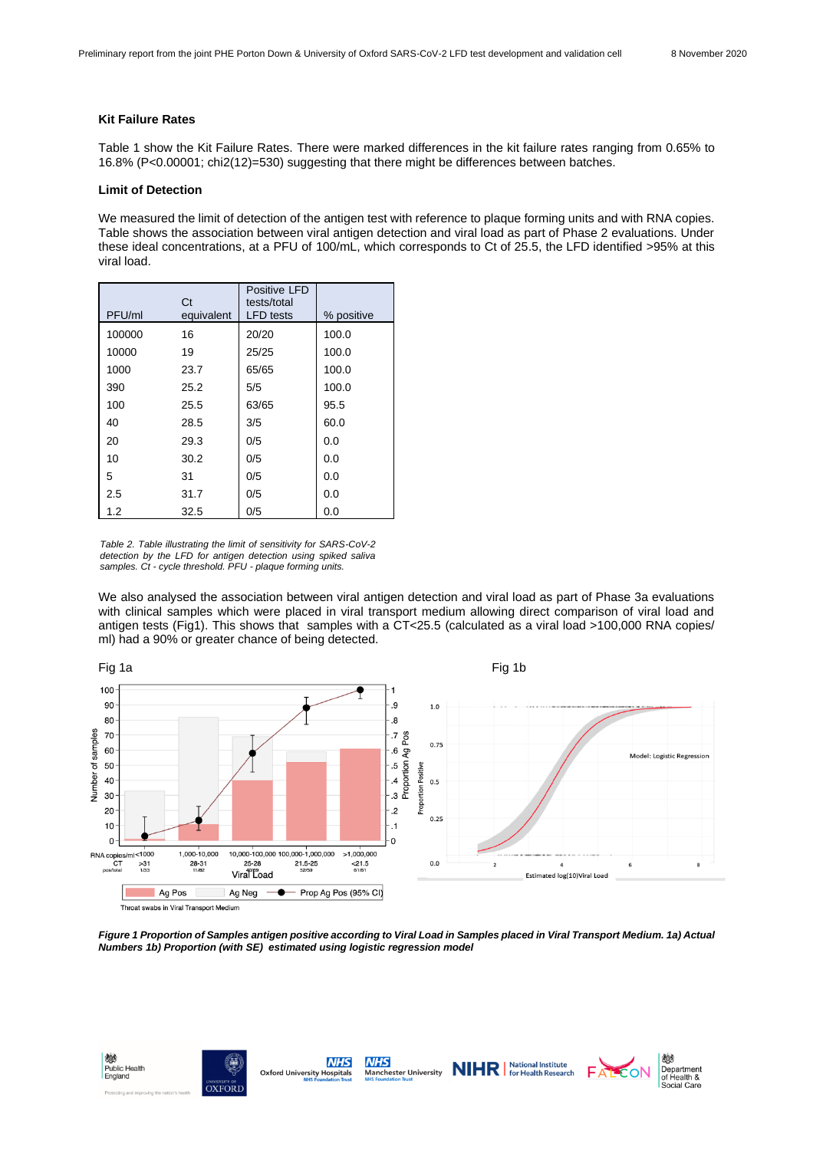#### **Kit Failure Rates**

Table 1 show the Kit Failure Rates. There were marked differences in the kit failure rates ranging from 0.65% to 16.8% (P<0.00001; chi2(12)=530) suggesting that there might be differences between batches.

#### **Limit of Detection**

We measured the limit of detection of the antigen test with reference to plaque forming units and with RNA copies. Table shows the association between viral antigen detection and viral load as part of Phase 2 evaluations. Under these ideal concentrations, at a PFU of 100/mL, which corresponds to Ct of 25.5, the LFD identified >95% at this viral load.

| PFU/ml | Ct<br>equivalent | Positive LFD<br>tests/total<br><b>LFD</b> tests | % positive |
|--------|------------------|-------------------------------------------------|------------|
| 100000 | 16               | 20/20                                           | 100.0      |
| 10000  | 19               | 25/25                                           | 100.0      |
| 1000   | 23.7             | 65/65                                           | 100.0      |
| 390    | 25.2             | 5/5                                             | 100.0      |
| 100    | 25.5             | 63/65                                           | 95.5       |
| 40     | 28.5             | 3/5                                             | 60.0       |
| 20     | 29.3             | 0/5                                             | 0.0        |
| 10     | 30.2             | 0/5                                             | 0.0        |
| 5      | 31               | 0/5                                             | 0.0        |
| 2.5    | 31.7             | 0/5                                             | 0.0        |
| 1.2    | 32.5             | 0/5                                             | 0.0        |

*Table 2. Table illustrating the limit of sensitivity for SARS-CoV-2 detection by the LFD for antigen detection using spiked saliva samples. Ct - cycle threshold. PFU - plaque forming units.* 

We also analysed the association between viral antigen detection and viral load as part of Phase 3a evaluations with clinical samples which were placed in viral transport medium allowing direct comparison of viral load and antigen tests (Fig1). This shows that samples with a CT<25.5 (calculated as a viral load >100,000 RNA copies/ ml) had a 90% or greater chance of being detected.



Throat swabs in Viral Transport Medium

*Figure 1 Proportion of Samples antigen positive according to Viral Load in Samples placed in Viral Transport Medium. 1a) Actual Numbers 1b) Proportion (with SE) estimated using logistic regression model*









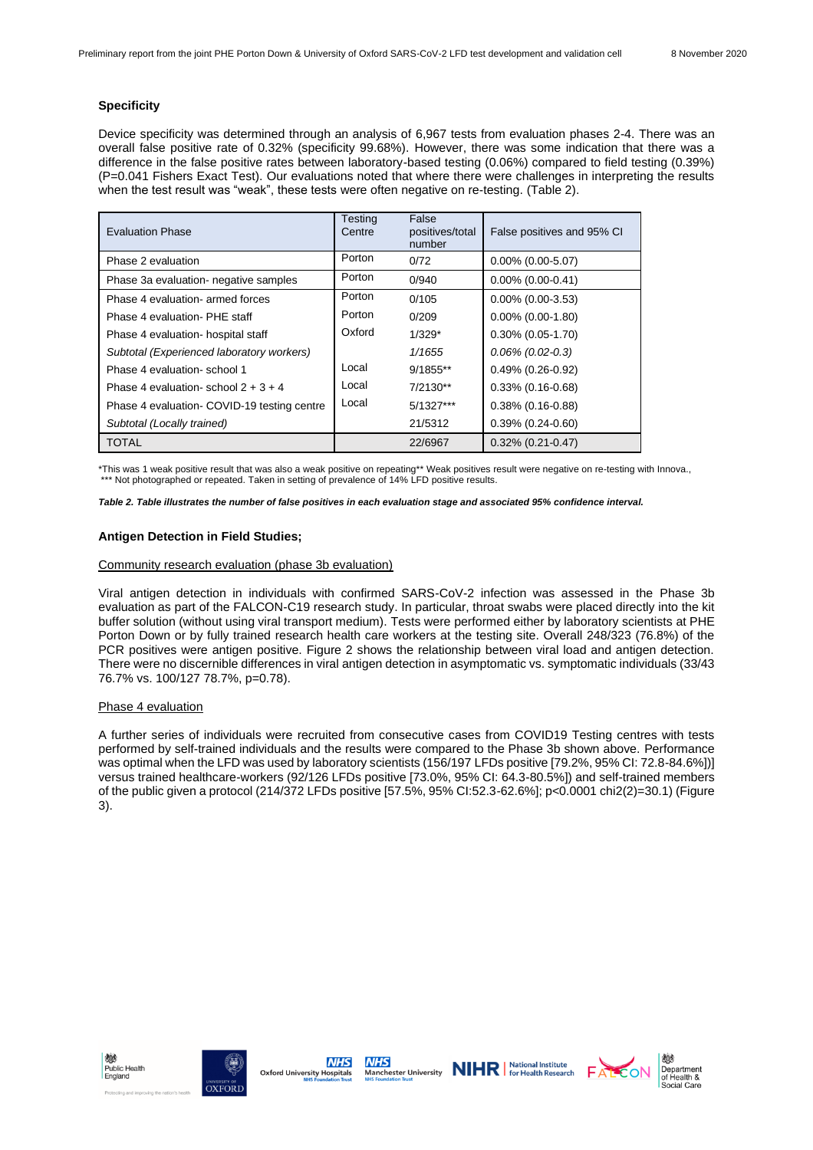# **Specificity**

Device specificity was determined through an analysis of 6,967 tests from evaluation phases 2-4. There was an overall false positive rate of 0.32% (specificity 99.68%). However, there was some indication that there was a difference in the false positive rates between laboratory-based testing (0.06%) compared to field testing (0.39%) (P=0.041 Fishers Exact Test). Our evaluations noted that where there were challenges in interpreting the results when the test result was "weak", these tests were often negative on re-testing. (Table 2).

| <b>Evaluation Phase</b>                     | Testina<br>Centre | False<br>positives/total<br>number | False positives and 95% CI |
|---------------------------------------------|-------------------|------------------------------------|----------------------------|
| Phase 2 evaluation                          | Porton            | 0/72                               | $0.00\%$ (0.00-5.07)       |
| Phase 3a evaluation- negative samples       | Porton            | 0/940                              | $0.00\%$ (0.00-0.41)       |
| Phase 4 evaluation- armed forces            | Porton            | 0/105                              | $0.00\%$ (0.00-3.53)       |
| Phase 4 evaluation- PHE staff               | Porton            | 0/209                              | $0.00\%$ (0.00-1.80)       |
| Phase 4 evaluation- hospital staff          | Oxford            | $1/329*$                           | $0.30\%$ (0.05-1.70)       |
| Subtotal (Experienced laboratory workers)   |                   | 1/1655                             | $0.06\%$ (0.02-0.3)        |
| Phase 4 evaluation-school 1                 | Local             | $9/1855**$                         | $0.49\%$ (0.26-0.92)       |
| Phase 4 evaluation-school $2 + 3 + 4$       | Local             | $7/2130**$                         | $0.33\%$ (0.16-0.68)       |
| Phase 4 evaluation- COVID-19 testing centre | Local             | $5/1327***$                        | $0.38\%$ (0.16-0.88)       |
| Subtotal (Locally trained)                  |                   | 21/5312                            | $0.39\%$ $(0.24 - 0.60)$   |
| <b>TOTAL</b>                                |                   | 22/6967                            | $0.32\%$ (0.21-0.47)       |

\*This was 1 weak positive result that was also a weak positive on repeating\*\* Weak positives result were negative on re-testing with Innova., \*\*\* Not photographed or repeated. Taken in setting of prevalence of 14% LFD positive results.

#### *Table 2. Table illustrates the number of false positives in each evaluation stage and associated 95% confidence interval.*

# **Antigen Detection in Field Studies;**

#### Community research evaluation (phase 3b evaluation)

Viral antigen detection in individuals with confirmed SARS-CoV-2 infection was assessed in the Phase 3b evaluation as part of the FALCON-C19 research study. In particular, throat swabs were placed directly into the kit buffer solution (without using viral transport medium). Tests were performed either by laboratory scientists at PHE Porton Down or by fully trained research health care workers at the testing site. Overall 248/323 (76.8%) of the PCR positives were antigen positive. Figure 2 shows the relationship between viral load and antigen detection. There were no discernible differences in viral antigen detection in asymptomatic vs. symptomatic individuals (33/43 76.7% vs. 100/127 78.7%, p=0.78).

#### Phase 4 evaluation

A further series of individuals were recruited from consecutive cases from COVID19 Testing centres with tests performed by self-trained individuals and the results were compared to the Phase 3b shown above. Performance was optimal when the LFD was used by laboratory scientists (156/197 LFDs positive [79.2%, 95% CI: 72.8-84.6%])] versus trained healthcare-workers (92/126 LFDs positive [73.0%, 95% CI: 64.3-80.5%]) and self-trained members of the public given a protocol (214/372 LFDs positive [57.5%, 95% CI:52.3-62.6%]; p<0.0001 chi2(2)=30.1) (Figure 3).